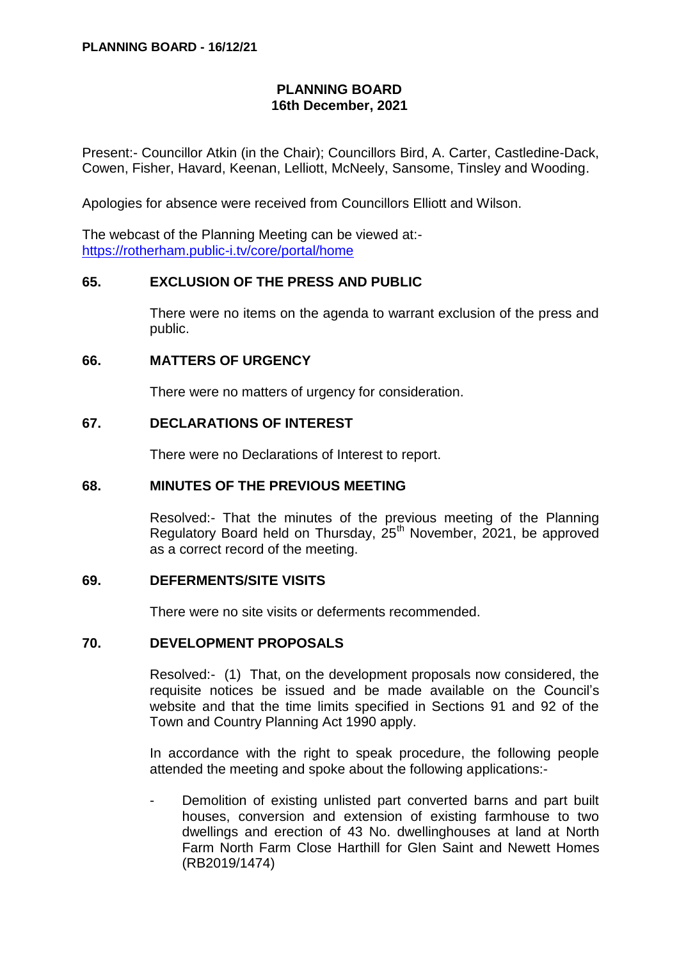# **PLANNING BOARD 16th December, 2021**

Present:- Councillor Atkin (in the Chair); Councillors Bird, A. Carter, Castledine-Dack, Cowen, Fisher, Havard, Keenan, Lelliott, McNeely, Sansome, Tinsley and Wooding.

Apologies for absence were received from Councillors Elliott and Wilson.

The webcast of the Planning Meeting can be viewed at: <https://rotherham.public-i.tv/core/portal/home>

# **65. EXCLUSION OF THE PRESS AND PUBLIC**

There were no items on the agenda to warrant exclusion of the press and public.

#### **66. MATTERS OF URGENCY**

There were no matters of urgency for consideration.

# **67. DECLARATIONS OF INTEREST**

There were no Declarations of Interest to report.

#### **68. MINUTES OF THE PREVIOUS MEETING**

Resolved:- That the minutes of the previous meeting of the Planning Regulatory Board held on Thursday, 25<sup>th</sup> November, 2021, be approved as a correct record of the meeting.

# **69. DEFERMENTS/SITE VISITS**

There were no site visits or deferments recommended.

#### **70. DEVELOPMENT PROPOSALS**

Resolved:- (1) That, on the development proposals now considered, the requisite notices be issued and be made available on the Council's website and that the time limits specified in Sections 91 and 92 of the Town and Country Planning Act 1990 apply.

In accordance with the right to speak procedure, the following people attended the meeting and spoke about the following applications:-

Demolition of existing unlisted part converted barns and part built houses, conversion and extension of existing farmhouse to two dwellings and erection of 43 No. dwellinghouses at land at North Farm North Farm Close Harthill for Glen Saint and Newett Homes (RB2019/1474)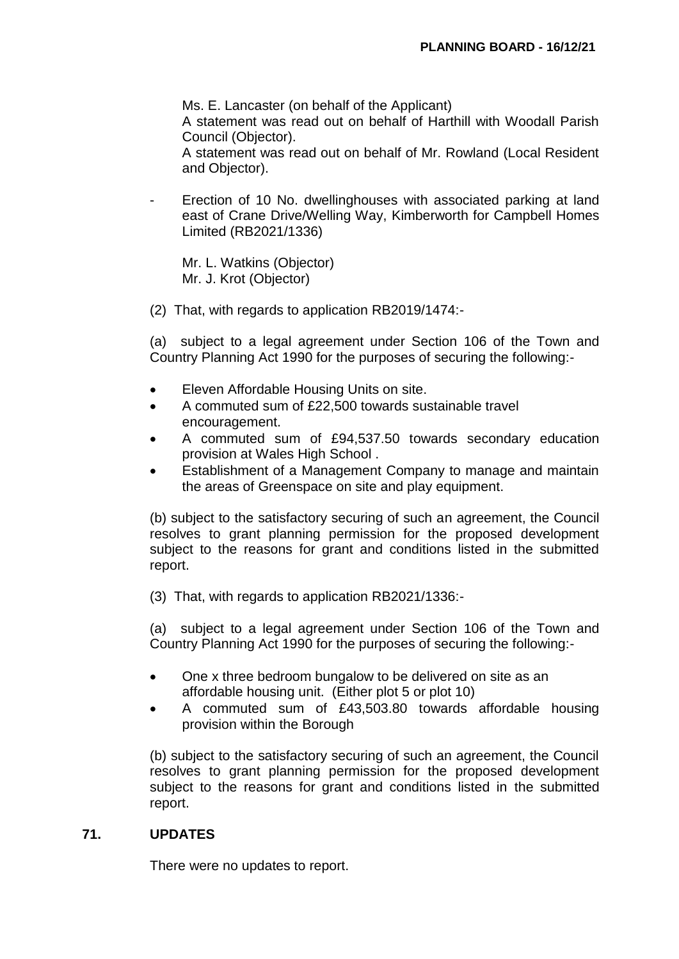Ms. E. Lancaster (on behalf of the Applicant)

A statement was read out on behalf of Harthill with Woodall Parish Council (Objector).

A statement was read out on behalf of Mr. Rowland (Local Resident and Objector).

Erection of 10 No. dwellinghouses with associated parking at land east of Crane Drive/Welling Way, Kimberworth for Campbell Homes Limited (RB2021/1336)

Mr. L. Watkins (Objector) Mr. J. Krot (Objector)

(2) That, with regards to application RB2019/1474:-

(a) subject to a legal agreement under Section 106 of the Town and Country Planning Act 1990 for the purposes of securing the following:-

- Eleven Affordable Housing Units on site.
- A commuted sum of £22,500 towards sustainable travel encouragement.
- A commuted sum of £94,537.50 towards secondary education provision at Wales High School .
- Establishment of a Management Company to manage and maintain the areas of Greenspace on site and play equipment.

(b) subject to the satisfactory securing of such an agreement, the Council resolves to grant planning permission for the proposed development subject to the reasons for grant and conditions listed in the submitted report.

(3) That, with regards to application RB2021/1336:-

(a) subject to a legal agreement under Section 106 of the Town and Country Planning Act 1990 for the purposes of securing the following:-

- One x three bedroom bungalow to be delivered on site as an affordable housing unit. (Either plot 5 or plot 10)
- A commuted sum of £43,503.80 towards affordable housing provision within the Borough

(b) subject to the satisfactory securing of such an agreement, the Council resolves to grant planning permission for the proposed development subject to the reasons for grant and conditions listed in the submitted report.

#### **71. UPDATES**

There were no updates to report.